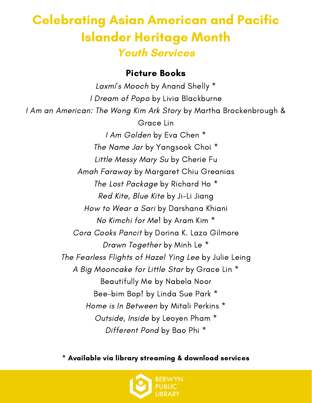### Celebrating Asian American and Pacific Islander Heritage Month **Youth Services**

#### Picture Books

Laxmi's Mooch by Anand Shelly \* I Dream of Popo by Livia Blackburne I Am an American: The Wong Kim Ark Story by Martha Brockenbrough & Grace Lin I Am Golden by Eva Chen \* The Name Jar by Yangsook Choi \* Little Messy Mary Su by Cherie Fu Amah Faraway by Margaret Chiu Greanias The Lost Package by Richard Ho \* Red Kite, Blue Kite by Ji-Li Jiang How to Wear a Sari by Darshana Khiani No Kimchi for Me! by Aram Kim \* Cora Cooks Pancit by Dorina K. Lazo Gilmore Drawn Together by Minh Le \* The Fearless Flights of Hazel Ying Lee by Julie Leing A Big Mooncake for Little Star by Grace Lin \* Beautifully Me by Nabela Noor Bee-bim Bop! by Linda Sue Park \* Home is In Between by Mitali Perkins \* Outside, Inside by Leoyen Pham \* Different Pond by Bao Phi \*

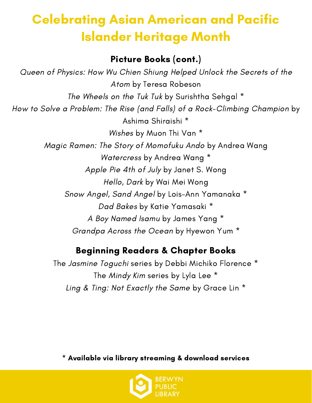# Celebrating Asian American and Pacific Islander Heritage Month

#### Picture Books (cont.)

Queen of Physics: How Wu Chien Shiung Helped Unlock the Secrets of the Atom by Teresa Robeson The Wheels on the Tuk Tuk by Surishtha Sehgal \* How to Solve a Problem: The Rise (and Falls) of a Rock-Climbing Champion by Ashima Shiraishi \* Wishes by Muon Thi Van \* Magic Ramen: The Story of Momofuku Ando by Andrea Wang Watercress by Andrea Wang \* Apple Pie 4th of July by Janet S. Wong Hello, Dark by Wai Mei Wong Snow Angel, Sand Angel by Lois-Ann Yamanaka \* Dad Bakes by Katie Yamasaki \* A Boy Named Isamu by James Yang \* Grandpa Across the Ocean by Hyewon Yum \*

### Beginning Readers & Chapter Books

The Jasmine Toguchi series by Debbi Michiko Florence \* The Mindy Kim series by Lyla Lee \* Ling & Ting: Not Exactly the Same by Grace Lin \*

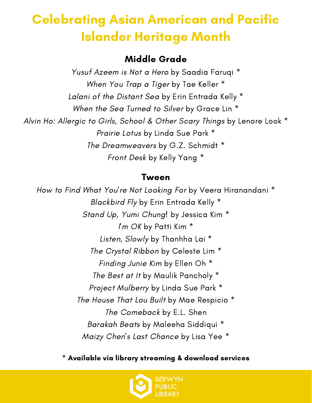## Celebrating Asian American and Pacific Islander Heritage Month

### Middle Grade

Yusuf Azeem is Not a Hero by Saadia Faruqi \* When You Trap a Tiger by Tae Keller \* Lalani of the Distant Sea by Erin Entrada Kelly \* When the Sea Turned to Silver by Grace Lin<sup>\*</sup> Alvin Ho: Allergic to Girls, School & Other Scary Things by Lenore Look \* Prairie Lotus by Linda Sue Park \* The Dreamweavers by G.Z. Schmidt \* Front Desk by Kelly Yang \*

#### Tween

How to Find What You're Not Looking For by Veera Hiranandani \* Blackbird Fly by Erin Entrada Kelly \* Stand Up, Yumi Chung! by Jessica Kim \* I'm OK by Patti Kim \* Listen, Slowly by Thanhha Lai<sup>\*</sup> The Crystal Ribbon by Celeste Lim \* Finding Junie Kim by Ellen Oh \* The Best at It by Maulik Pancholy \* Project Mulberry by Linda Sue Park \* The House That Lou Built by Mae Respicio \* The Comeback by E.L. Shen Barakah Beats by Maleeha Siddiqui \* Maizy Chen's Last Chance by Lisa Yee \*